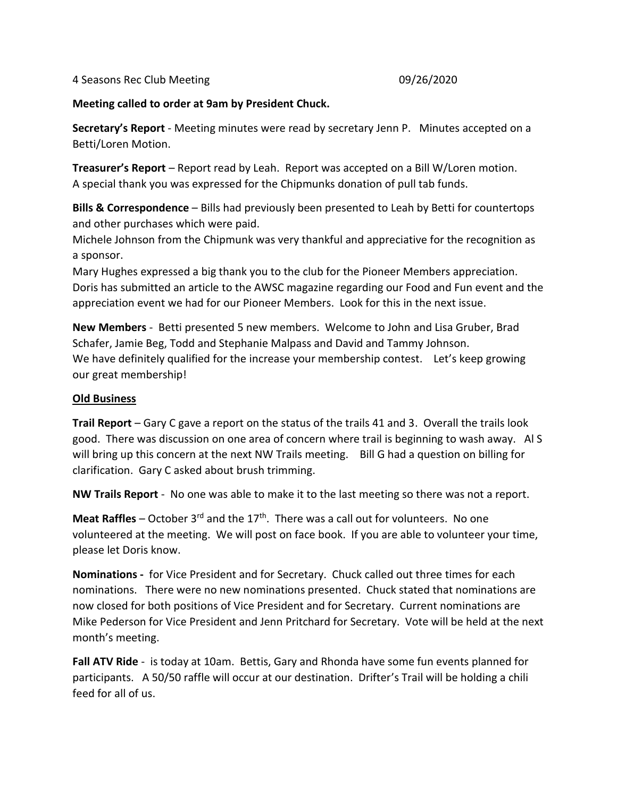4 Seasons Rec Club Meeting 09/26/2020

## **Meeting called to order at 9am by President Chuck.**

**Secretary's Report** - Meeting minutes were read by secretary Jenn P. Minutes accepted on a Betti/Loren Motion.

**Treasurer's Report** – Report read by Leah. Report was accepted on a Bill W/Loren motion. A special thank you was expressed for the Chipmunks donation of pull tab funds.

**Bills & Correspondence** – Bills had previously been presented to Leah by Betti for countertops and other purchases which were paid.

Michele Johnson from the Chipmunk was very thankful and appreciative for the recognition as a sponsor.

Mary Hughes expressed a big thank you to the club for the Pioneer Members appreciation. Doris has submitted an article to the AWSC magazine regarding our Food and Fun event and the appreciation event we had for our Pioneer Members. Look for this in the next issue.

**New Members** - Betti presented 5 new members. Welcome to John and Lisa Gruber, Brad Schafer, Jamie Beg, Todd and Stephanie Malpass and David and Tammy Johnson. We have definitely qualified for the increase your membership contest. Let's keep growing our great membership!

## **Old Business**

**Trail Report** – Gary C gave a report on the status of the trails 41 and 3. Overall the trails look good. There was discussion on one area of concern where trail is beginning to wash away. Al S will bring up this concern at the next NW Trails meeting. Bill G had a question on billing for clarification. Gary C asked about brush trimming.

**NW Trails Report** - No one was able to make it to the last meeting so there was not a report.

**Meat Raffles** – October 3<sup>rd</sup> and the 17<sup>th</sup>. There was a call out for volunteers. No one volunteered at the meeting. We will post on face book. If you are able to volunteer your time, please let Doris know.

**Nominations -** for Vice President and for Secretary. Chuck called out three times for each nominations. There were no new nominations presented. Chuck stated that nominations are now closed for both positions of Vice President and for Secretary. Current nominations are Mike Pederson for Vice President and Jenn Pritchard for Secretary. Vote will be held at the next month's meeting.

**Fall ATV Ride** - is today at 10am. Bettis, Gary and Rhonda have some fun events planned for participants. A 50/50 raffle will occur at our destination. Drifter's Trail will be holding a chili feed for all of us.